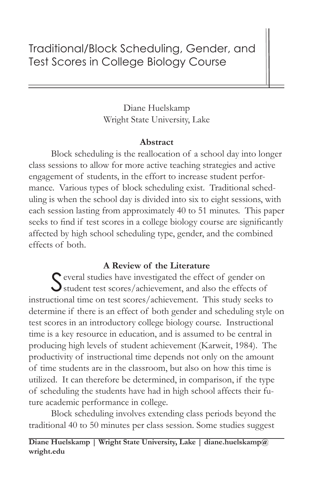# Traditional/Block Scheduling, Gender, and Test Scores in College Biology Course

Diane Huelskamp Wright State University, Lake

## **Abstract**

Block scheduling is the reallocation of a school day into longer class sessions to allow for more active teaching strategies and active engagement of students, in the effort to increase student performance. Various types of block scheduling exist. Traditional scheduling is when the school day is divided into six to eight sessions, with each session lasting from approximately 40 to 51 minutes. This paper seeks to find if test scores in a college biology course are significantly affected by high school scheduling type, gender, and the combined effects of both.

# **A Review of the Literature**

Several studies have investigated the effect of gender on student test scores/achievement, and also the effects of instructional time on test scores/achievement. This study seeks to determine if there is an effect of both gender and scheduling style on test scores in an introductory college biology course. Instructional time is a key resource in education, and is assumed to be central in producing high levels of student achievement (Karweit, 1984). The productivity of instructional time depends not only on the amount of time students are in the classroom, but also on how this time is utilized. It can therefore be determined, in comparison, if the type of scheduling the students have had in high school affects their future academic performance in college.

Block scheduling involves extending class periods beyond the traditional 40 to 50 minutes per class session. Some studies suggest

**Diane Huelskamp | Wright State University, Lake | diane.huelskamp@ wright.edu**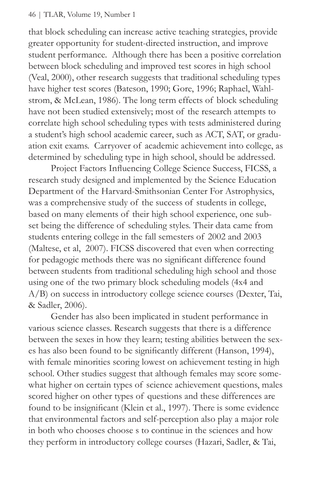#### 46 | TLAR, Volume 19, Number 1

that block scheduling can increase active teaching strategies, provide greater opportunity for student-directed instruction, and improve student performance. Although there has been a positive correlation between block scheduling and improved test scores in high school (Veal, 2000), other research suggests that traditional scheduling types have higher test scores (Bateson, 1990; Gore, 1996; Raphael, Wahlstrom, & McLean, 1986). The long term effects of block scheduling have not been studied extensively; most of the research attempts to correlate high school scheduling types with tests administered during a student's high school academic career, such as ACT, SAT, or graduation exit exams. Carryover of academic achievement into college, as determined by scheduling type in high school, should be addressed.

Project Factors Influencing College Science Success, FICSS, a research study designed and implemented by the Science Education Department of the Harvard-Smithsonian Center For Astrophysics, was a comprehensive study of the success of students in college, based on many elements of their high school experience, one subset being the difference of scheduling styles. Their data came from students entering college in the fall semesters of 2002 and 2003 (Maltese, et al, 2007). FICSS discovered that even when correcting for pedagogic methods there was no significant difference found between students from traditional scheduling high school and those using one of the two primary block scheduling models (4x4 and A/B) on success in introductory college science courses (Dexter, Tai, & Sadler, 2006).

Gender has also been implicated in student performance in various science classes. Research suggests that there is a difference between the sexes in how they learn; testing abilities between the sexes has also been found to be significantly different (Hanson, 1994), with female minorities scoring lowest on achievement testing in high school. Other studies suggest that although females may score somewhat higher on certain types of science achievement questions, males scored higher on other types of questions and these differences are found to be insignificant (Klein et al., 1997). There is some evidence that environmental factors and self-perception also play a major role in both who chooses choose s to continue in the sciences and how they perform in introductory college courses (Hazari, Sadler, & Tai,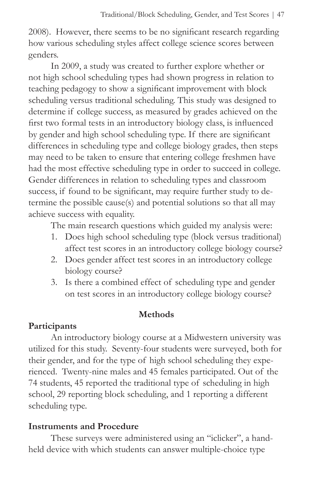2008). However, there seems to be no significant research regarding how various scheduling styles affect college science scores between genders.

In 2009, a study was created to further explore whether or not high school scheduling types had shown progress in relation to teaching pedagogy to show a significant improvement with block scheduling versus traditional scheduling. This study was designed to determine if college success, as measured by grades achieved on the first two formal tests in an introductory biology class, is influenced by gender and high school scheduling type. If there are significant differences in scheduling type and college biology grades, then steps may need to be taken to ensure that entering college freshmen have had the most effective scheduling type in order to succeed in college. Gender differences in relation to scheduling types and classroom success, if found to be significant, may require further study to determine the possible cause(s) and potential solutions so that all may achieve success with equality.

The main research questions which guided my analysis were:

- 1. Does high school scheduling type (block versus traditional) affect test scores in an introductory college biology course?
- 2. Does gender affect test scores in an introductory college biology course?
- 3. Is there a combined effect of scheduling type and gender on test scores in an introductory college biology course?

#### **Methods**

## **Participants**

An introductory biology course at a Midwestern university was utilized for this study. Seventy-four students were surveyed, both for their gender, and for the type of high school scheduling they experienced. Twenty-nine males and 45 females participated. Out of the 74 students, 45 reported the traditional type of scheduling in high school, 29 reporting block scheduling, and 1 reporting a different scheduling type.

#### **Instruments and Procedure**

These surveys were administered using an "iclicker", a handheld device with which students can answer multiple-choice type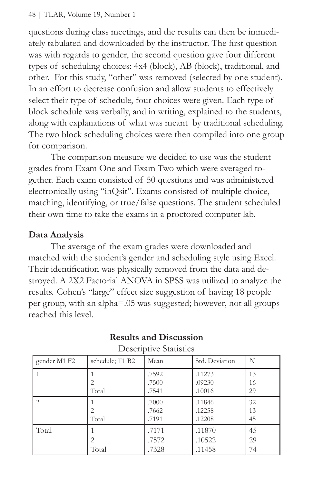questions during class meetings, and the results can then be immediately tabulated and downloaded by the instructor. The first question was with regards to gender, the second question gave four different types of scheduling choices: 4x4 (block), AB (block), traditional, and other. For this study, "other" was removed (selected by one student). In an effort to decrease confusion and allow students to effectively select their type of schedule, four choices were given. Each type of block schedule was verbally, and in writing, explained to the students, along with explanations of what was meant by traditional scheduling. The two block scheduling choices were then compiled into one group for comparison.

The comparison measure we decided to use was the student grades from Exam One and Exam Two which were averaged together. Each exam consisted of 50 questions and was administered electronically using "inQsit". Exams consisted of multiple choice, matching, identifying, or true/false questions. The student scheduled their own time to take the exams in a proctored computer lab.

## **Data Analysis**

The average of the exam grades were downloaded and matched with the student's gender and scheduling style using Excel. Their identification was physically removed from the data and destroyed. A 2X2 Factorial ANOVA in SPSS was utilized to analyze the results. Cohen's "large" effect size suggestion of having 18 people per group, with an alpha=.05 was suggested; however, not all groups reached this level.

| $\sim$ 0.00 $\sim$ 0.000 $\sim$ 0.000 $\sim$ |                                      |                         |                            |                |  |  |  |  |
|----------------------------------------------|--------------------------------------|-------------------------|----------------------------|----------------|--|--|--|--|
| gender M1 F2                                 | schedule; T1 B2                      | Mean                    | Std. Deviation             | N              |  |  |  |  |
|                                              | Total                                | .7592<br>.7500<br>.7541 | .11273<br>.09230<br>.10016 | 13<br>16<br>29 |  |  |  |  |
| 2                                            | $\mathcal{D}_{\mathcal{L}}$<br>Total | .7000<br>.7662<br>.7191 | .11846<br>.12258<br>.12208 | 32<br>13<br>45 |  |  |  |  |
| Total                                        | 2<br>Total                           | .7171<br>.7572<br>.7328 | .11870<br>.10522<br>.11458 | 45<br>29<br>74 |  |  |  |  |

#### **Results and Discussion** Descriptive Statistics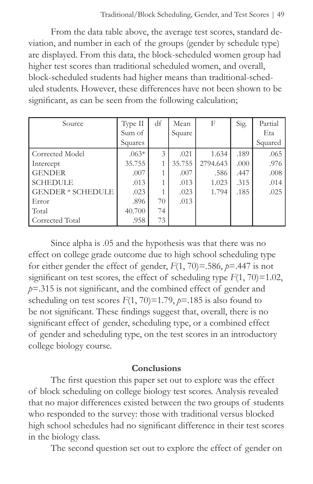From the data table above, the average test scores, standard deviation, and number in each of the groups (gender by schedule type) are displayed. From this data, the block-scheduled women group had higher test scores than traditional scheduled women, and overall, block-scheduled students had higher means than traditional-scheduled students. However, these differences have not been shown to be significant, as can be seen from the following calculation;

| Source                                                                                                  | Type II<br>Sum of<br>Squares                                | df            | Mean<br>Square                                 | F                                           | Sig.                                 | Partial<br>Eta<br>Squared            |
|---------------------------------------------------------------------------------------------------------|-------------------------------------------------------------|---------------|------------------------------------------------|---------------------------------------------|--------------------------------------|--------------------------------------|
| Corrected Model<br>Intercept<br><b>GENDER</b><br><b>SCHEDULE</b><br>GENDER * SCHEDULE<br>Error<br>Total | $.063*$<br>35.755<br>.007<br>.013<br>.023<br>.896<br>40.700 | 3<br>70<br>74 | .021<br>35.755<br>.007<br>.013<br>.023<br>.013 | 1.634<br>2794.643<br>.586<br>1.023<br>1.794 | .189<br>.000<br>.447<br>.315<br>.185 | .065<br>.976<br>.008<br>.014<br>.025 |
| Corrected Total                                                                                         | .958                                                        | 73            |                                                |                                             |                                      |                                      |

Since alpha is .05 and the hypothesis was that there was no effect on college grade outcome due to high school scheduling type for either gender the effect of gender,  $F(1, 70) = .586$ ,  $p = .447$  is not significant on test scores, the effect of scheduling type  $F(1, 70) = 1.02$ , *p*=.315 is not significant, and the combined effect of gender and scheduling on test scores  $F(1, 70) = 1.79$ ,  $p=185$  is also found to be not significant. These findings suggest that, overall, there is no significant effect of gender, scheduling type, or a combined effect of gender and scheduling type, on the test scores in an introductory college biology course.

#### **Conclusions**

The first question this paper set out to explore was the effect of block scheduling on college biology test scores. Analysis revealed that no major differences existed between the two groups of students who responded to the survey: those with traditional versus blocked high school schedules had no significant difference in their test scores in the biology class.

The second question set out to explore the effect of gender on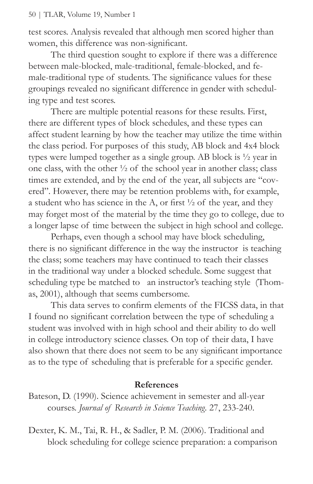test scores. Analysis revealed that although men scored higher than women, this difference was non-significant.

The third question sought to explore if there was a difference between male-blocked, male-traditional, female-blocked, and female-traditional type of students. The significance values for these groupings revealed no significant difference in gender with scheduling type and test scores.

There are multiple potential reasons for these results. First, there are different types of block schedules, and these types can affect student learning by how the teacher may utilize the time within the class period. For purposes of this study, AB block and 4x4 block types were lumped together as a single group. AB block is ½ year in one class, with the other ½ of the school year in another class; class times are extended, and by the end of the year, all subjects are "covered". However, there may be retention problems with, for example, a student who has science in the A, or first  $\frac{1}{2}$  of the year, and they may forget most of the material by the time they go to college, due to a longer lapse of time between the subject in high school and college.

Perhaps, even though a school may have block scheduling, there is no significant difference in the way the instructor is teaching the class; some teachers may have continued to teach their classes in the traditional way under a blocked schedule. Some suggest that scheduling type be matched to an instructor's teaching style (Thomas, 2001), although that seems cumbersome.

This data serves to confirm elements of the FICSS data, in that I found no significant correlation between the type of scheduling a student was involved with in high school and their ability to do well in college introductory science classes. On top of their data, I have also shown that there does not seem to be any significant importance as to the type of scheduling that is preferable for a specific gender.

#### **References**

Bateson, D. (1990). Science achievement in semester and all-year courses. *Journal of Research in Science Teaching.* 27, 233-240.

Dexter, K. M., Tai, R. H., & Sadler, P. M. (2006). Traditional and block scheduling for college science preparation: a comparison